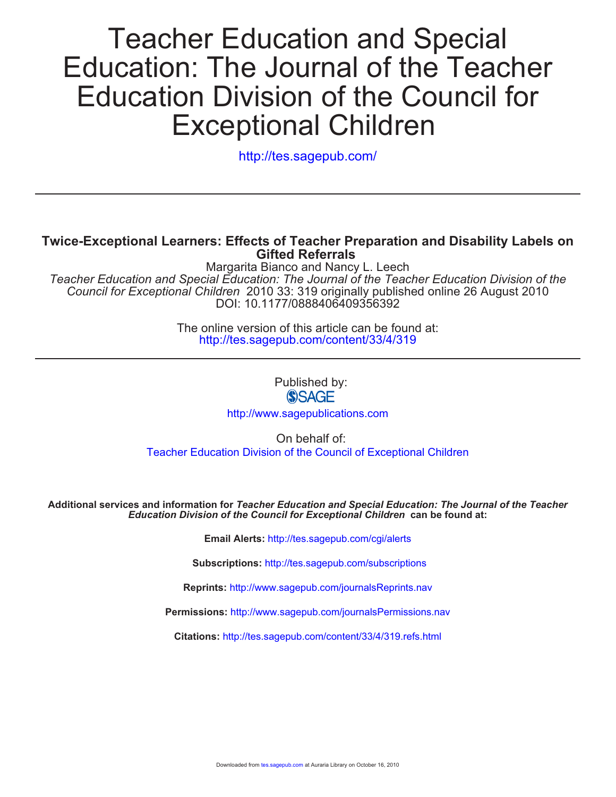# Exceptional Children Education Division of the Council for Education: The Journal of the Teacher Teacher Education and Special

http://tes.sagepub.com/

## **Gifted Referrals Twice-Exceptional Learners: Effects of Teacher Preparation and Disability Labels on**

DOI: 10.1177/0888406409356392 *Council for Exceptional Children* 2010 33: 319 originally published online 26 August 2010 *Teacher Education and Special Education: The Journal of the Teacher Education Division of the* Margarita Bianco and Nancy L. Leech

> http://tes.sagepub.com/content/33/4/319 The online version of this article can be found at:

> > Published by: **SSAGE** http://www.sagepublications.com

On behalf of: Teacher Education Division of the Council of Exceptional Children

*Education Division of the Council for Exceptional Children* **can be found at: Additional services and information for** *Teacher Education and Special Education: The Journal of the Teacher*

**Email Alerts:** http://tes.sagepub.com/cgi/alerts

**Subscriptions:** http://tes.sagepub.com/subscriptions

**Reprints:** http://www.sagepub.com/journalsReprints.nav

**Permissions:** http://www.sagepub.com/journalsPermissions.nav

**Citations:** http://tes.sagepub.com/content/33/4/319.refs.html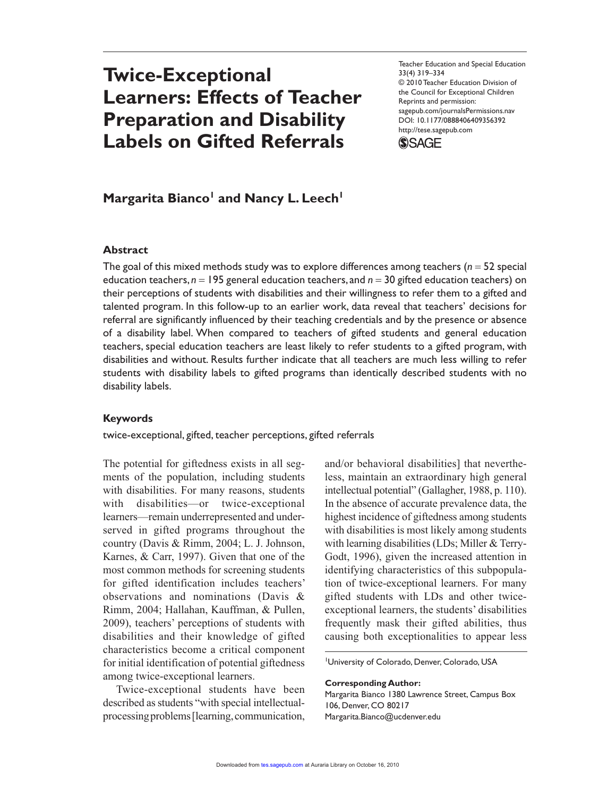## **Twice-Exceptional Learners: Effects of Teacher Preparation and Disability Labels on Gifted Referrals**

Teacher Education and Special Education 33(4) 319 –334 © 2010 Teacher Education Division of the Council for Exceptional Children Reprints and permission: sagepub.com/journalsPermissions.nav DOI: 10.1177/0888406409356392 http://tese.sagepub.com **SSAGE** 

## **Margarita Bianco<sup>1</sup> and Nancy L. Leech<sup>1</sup>**

#### **Abstract**

The goal of this mixed methods study was to explore differences among teachers ( $n = 52$  special education teachers, *n* = 195 general education teachers, and *n* = 30 gifted education teachers) on their perceptions of students with disabilities and their willingness to refer them to a gifted and talented program. In this follow-up to an earlier work, data reveal that teachers' decisions for referral are significantly influenced by their teaching credentials and by the presence or absence of a disability label. When compared to teachers of gifted students and general education teachers, special education teachers are least likely to refer students to a gifted program, with disabilities and without. Results further indicate that all teachers are much less willing to refer students with disability labels to gifted programs than identically described students with no disability labels.

#### **Keywords**

twice-exceptional, gifted, teacher perceptions, gifted referrals

The potential for giftedness exists in all segments of the population, including students with disabilities. For many reasons, students with disabilities—or twice-exceptional learners—remain underrepresented and underserved in gifted programs throughout the country (Davis & Rimm, 2004; L. J. Johnson, Karnes, & Carr, 1997). Given that one of the most common methods for screening students for gifted identification includes teachers' observations and nominations (Davis & Rimm, 2004; Hallahan, Kauffman, & Pullen, 2009), teachers' perceptions of students with disabilities and their knowledge of gifted characteristics become a critical component for initial identification of potential giftedness among twice-exceptional learners.

Twice-exceptional students have been described as students "with special intellectualprocessing problems [learning, communication, and/or behavioral disabilities] that nevertheless, maintain an extraordinary high general intellectual potential" (Gallagher, 1988, p. 110). In the absence of accurate prevalence data, the highest incidence of giftedness among students with disabilities is most likely among students with learning disabilities (LDs; Miller & Terry-Godt, 1996), given the increased attention in identifying characteristics of this subpopulation of twice-exceptional learners. For many gifted students with LDs and other twiceexceptional learners, the students' disabilities frequently mask their gifted abilities, thus causing both exceptionalities to appear less

<sup>1</sup>University of Colorado, Denver, Colorado, USA

**Corresponding Author:**

Margarita Bianco 1380 Lawrence Street, Campus Box 106, Denver, CO 80217 Margarita.Bianco@ucdenver.edu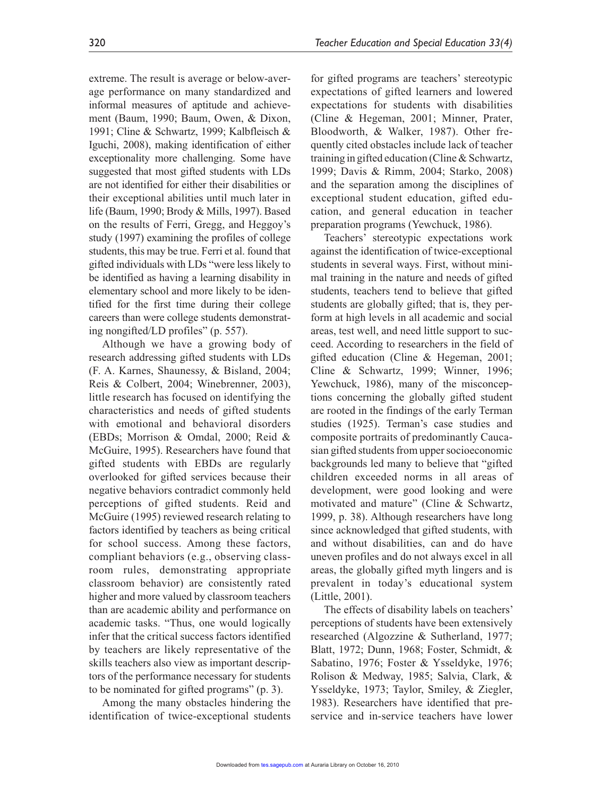extreme. The result is average or below-average performance on many standardized and informal measures of aptitude and achievement (Baum, 1990; Baum, Owen, & Dixon, 1991; Cline & Schwartz, 1999; Kalbfleisch & Iguchi, 2008), making identification of either exceptionality more challenging. Some have suggested that most gifted students with LDs are not identified for either their disabilities or their exceptional abilities until much later in life (Baum, 1990; Brody & Mills, 1997). Based on the results of Ferri, Gregg, and Heggoy's study (1997) examining the profiles of college students, this may be true. Ferri et al. found that gifted individuals with LDs "were less likely to be identified as having a learning disability in elementary school and more likely to be identified for the first time during their college careers than were college students demonstrating nongifted/LD profiles" (p. 557).

Although we have a growing body of research addressing gifted students with LDs (F. A. Karnes, Shaunessy, & Bisland, 2004; Reis & Colbert, 2004; Winebrenner, 2003), little research has focused on identifying the characteristics and needs of gifted students with emotional and behavioral disorders (EBDs; Morrison & Omdal, 2000; Reid & McGuire, 1995). Researchers have found that gifted students with EBDs are regularly overlooked for gifted services because their negative behaviors contradict commonly held perceptions of gifted students. Reid and McGuire (1995) reviewed research relating to factors identified by teachers as being critical for school success. Among these factors, compliant behaviors (e.g., observing classroom rules, demonstrating appropriate classroom behavior) are consistently rated higher and more valued by classroom teachers than are academic ability and performance on academic tasks. "Thus, one would logically infer that the critical success factors identified by teachers are likely representative of the skills teachers also view as important descriptors of the performance necessary for students to be nominated for gifted programs" (p. 3).

Among the many obstacles hindering the identification of twice-exceptional students

for gifted programs are teachers' stereotypic expectations of gifted learners and lowered expectations for students with disabilities (Cline & Hegeman, 2001; Minner, Prater, Bloodworth, & Walker, 1987). Other frequently cited obstacles include lack of teacher training in gifted education (Cline & Schwartz, 1999; Davis & Rimm, 2004; Starko, 2008) and the separation among the disciplines of exceptional student education, gifted education, and general education in teacher preparation programs (Yewchuck, 1986).

Teachers' stereotypic expectations work against the identification of twice-exceptional students in several ways. First, without minimal training in the nature and needs of gifted students, teachers tend to believe that gifted students are globally gifted; that is, they perform at high levels in all academic and social areas, test well, and need little support to succeed. According to researchers in the field of gifted education (Cline & Hegeman, 2001; Cline & Schwartz, 1999; Winner, 1996; Yewchuck, 1986), many of the misconceptions concerning the globally gifted student are rooted in the findings of the early Terman studies (1925). Terman's case studies and composite portraits of predominantly Caucasian gifted students from upper socioeconomic backgrounds led many to believe that "gifted children exceeded norms in all areas of development, were good looking and were motivated and mature" (Cline & Schwartz, 1999, p. 38). Although researchers have long since acknowledged that gifted students, with and without disabilities, can and do have uneven profiles and do not always excel in all areas, the globally gifted myth lingers and is prevalent in today's educational system (Little, 2001).

The effects of disability labels on teachers' perceptions of students have been extensively researched (Algozzine & Sutherland, 1977; Blatt, 1972; Dunn, 1968; Foster, Schmidt, & Sabatino, 1976; Foster & Ysseldyke, 1976; Rolison & Medway, 1985; Salvia, Clark, & Ysseldyke, 1973; Taylor, Smiley, & Ziegler, 1983). Researchers have identified that preservice and in-service teachers have lower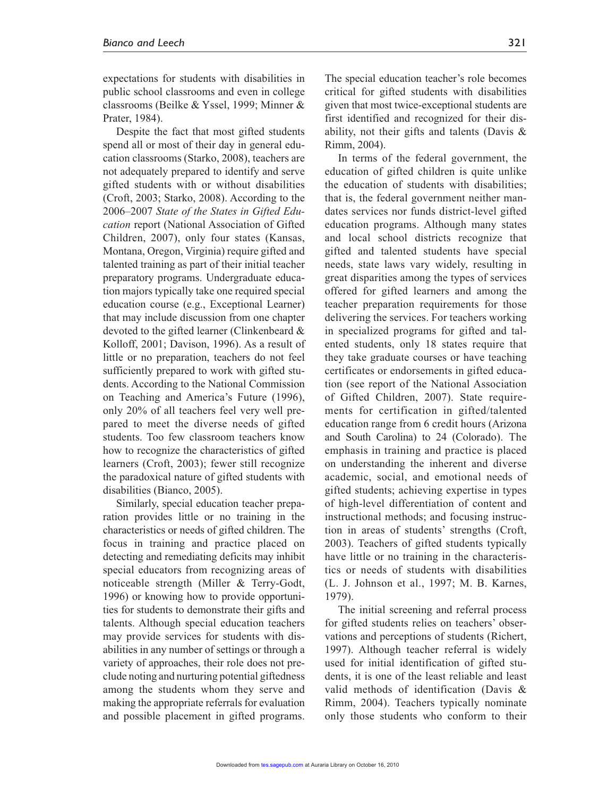Prater, 1984). Despite the fact that most gifted students spend all or most of their day in general education classrooms (Starko, 2008), teachers are not adequately prepared to identify and serve gifted students with or without disabilities (Croft, 2003; Starko, 2008). According to the 2006–2007 *State of the States in Gifted Education* report (National Association of Gifted Children, 2007), only four states (Kansas, Montana, Oregon, Virginia) require gifted and talented training as part of their initial teacher preparatory programs. Undergraduate education majors typically take one required special education course (e.g., Exceptional Learner) that may include discussion from one chapter devoted to the gifted learner (Clinkenbeard & Kolloff, 2001; Davison, 1996). As a result of little or no preparation, teachers do not feel sufficiently prepared to work with gifted students. According to the National Commission on Teaching and America's Future (1996), only 20% of all teachers feel very well prepared to meet the diverse needs of gifted students. Too few classroom teachers know how to recognize the characteristics of gifted learners (Croft, 2003); fewer still recognize the paradoxical nature of gifted students with disabilities (Bianco, 2005).

Similarly, special education teacher preparation provides little or no training in the characteristics or needs of gifted children. The focus in training and practice placed on detecting and remediating deficits may inhibit special educators from recognizing areas of noticeable strength (Miller & Terry-Godt, 1996) or knowing how to provide opportunities for students to demonstrate their gifts and talents. Although special education teachers may provide services for students with disabilities in any number of settings or through a variety of approaches, their role does not preclude noting and nurturing potential giftedness among the students whom they serve and making the appropriate referrals for evaluation and possible placement in gifted programs. The special education teacher's role becomes critical for gifted students with disabilities given that most twice-exceptional students are first identified and recognized for their disability, not their gifts and talents (Davis & Rimm, 2004).

In terms of the federal government, the education of gifted children is quite unlike the education of students with disabilities; that is, the federal government neither mandates services nor funds district-level gifted education programs. Although many states and local school districts recognize that gifted and talented students have special needs, state laws vary widely, resulting in great disparities among the types of services offered for gifted learners and among the teacher preparation requirements for those delivering the services. For teachers working in specialized programs for gifted and talented students, only 18 states require that they take graduate courses or have teaching certificates or endorsements in gifted education (see report of the National Association of Gifted Children, 2007). State requirements for certification in gifted/talented education range from 6 credit hours (Arizona and South Carolina) to 24 (Colorado). The emphasis in training and practice is placed on understanding the inherent and diverse academic, social, and emotional needs of gifted students; achieving expertise in types of high-level differentiation of content and instructional methods; and focusing instruction in areas of students' strengths (Croft, 2003). Teachers of gifted students typically have little or no training in the characteristics or needs of students with disabilities (L. J. Johnson et al., 1997; M. B. Karnes, 1979).

The initial screening and referral process for gifted students relies on teachers' observations and perceptions of students (Richert, 1997). Although teacher referral is widely used for initial identification of gifted students, it is one of the least reliable and least valid methods of identification (Davis & Rimm, 2004). Teachers typically nominate only those students who conform to their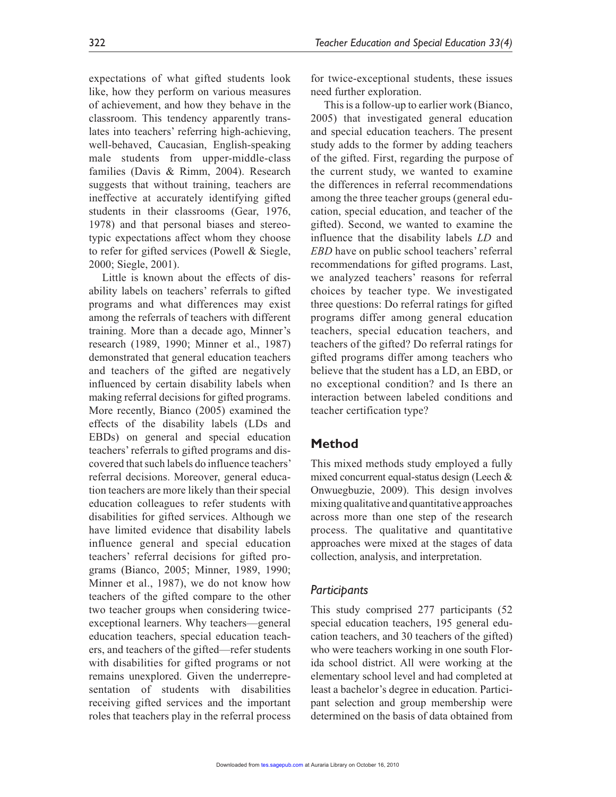expectations of what gifted students look like, how they perform on various measures of achievement, and how they behave in the classroom. This tendency apparently translates into teachers' referring high-achieving, well-behaved, Caucasian, English-speaking male students from upper-middle-class families (Davis & Rimm, 2004). Research suggests that without training, teachers are ineffective at accurately identifying gifted students in their classrooms (Gear, 1976, 1978) and that personal biases and stereotypic expectations affect whom they choose to refer for gifted services (Powell & Siegle, 2000; Siegle, 2001).

Little is known about the effects of disability labels on teachers' referrals to gifted programs and what differences may exist among the referrals of teachers with different training. More than a decade ago, Minner's research (1989, 1990; Minner et al., 1987) demonstrated that general education teachers and teachers of the gifted are negatively influenced by certain disability labels when making referral decisions for gifted programs. More recently, Bianco (2005) examined the effects of the disability labels (LDs and EBDs) on general and special education teachers' referrals to gifted programs and discovered that such labels do influence teachers' referral decisions. Moreover, general education teachers are more likely than their special education colleagues to refer students with disabilities for gifted services. Although we have limited evidence that disability labels influence general and special education teachers' referral decisions for gifted programs (Bianco, 2005; Minner, 1989, 1990; Minner et al., 1987), we do not know how teachers of the gifted compare to the other two teacher groups when considering twiceexceptional learners. Why teachers—general education teachers, special education teachers, and teachers of the gifted—refer students with disabilities for gifted programs or not remains unexplored. Given the underrepresentation of students with disabilities receiving gifted services and the important roles that teachers play in the referral process

for twice-exceptional students, these issues need further exploration.

This is a follow-up to earlier work (Bianco, 2005) that investigated general education and special education teachers. The present study adds to the former by adding teachers of the gifted. First, regarding the purpose of the current study, we wanted to examine the differences in referral recommendations among the three teacher groups (general education, special education, and teacher of the gifted). Second, we wanted to examine the influence that the disability labels *LD* and *EBD* have on public school teachers' referral recommendations for gifted programs. Last, we analyzed teachers' reasons for referral choices by teacher type. We investigated three questions: Do referral ratings for gifted programs differ among general education teachers, special education teachers, and teachers of the gifted? Do referral ratings for gifted programs differ among teachers who believe that the student has a LD, an EBD, or no exceptional condition? and Is there an interaction between labeled conditions and teacher certification type?

## **Method**

This mixed methods study employed a fully mixed concurrent equal-status design (Leech & Onwuegbuzie, 2009). This design involves mixing qualitative and quantitative approaches across more than one step of the research process. The qualitative and quantitative approaches were mixed at the stages of data collection, analysis, and interpretation.

## *Participants*

This study comprised 277 participants (52 special education teachers, 195 general education teachers, and 30 teachers of the gifted) who were teachers working in one south Florida school district. All were working at the elementary school level and had completed at least a bachelor's degree in education. Participant selection and group membership were determined on the basis of data obtained from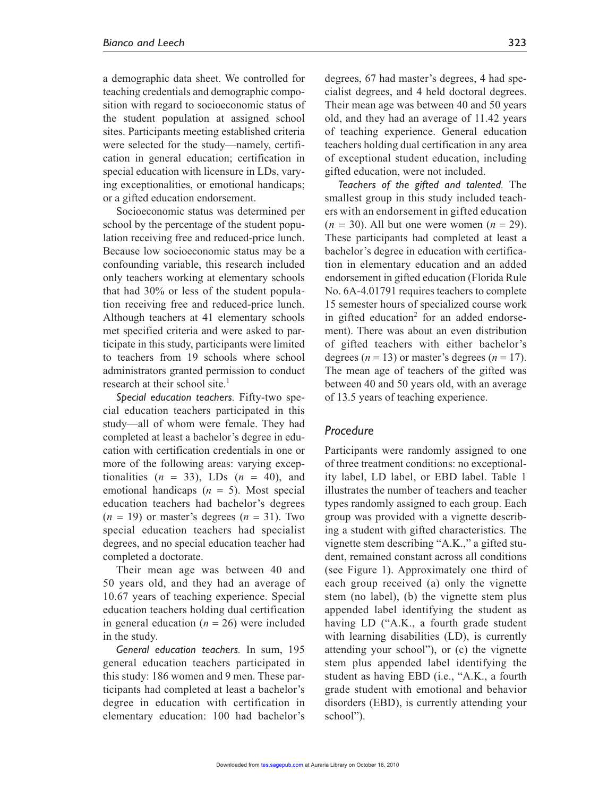a demographic data sheet. We controlled for teaching credentials and demographic composition with regard to socioeconomic status of the student population at assigned school sites. Participants meeting established criteria were selected for the study—namely, certification in general education; certification in special education with licensure in LDs, varying exceptionalities, or emotional handicaps; or a gifted education endorsement.

Socioeconomic status was determined per school by the percentage of the student population receiving free and reduced-price lunch. Because low socioeconomic status may be a confounding variable, this research included only teachers working at elementary schools that had 30% or less of the student population receiving free and reduced-price lunch. Although teachers at 41 elementary schools met specified criteria and were asked to participate in this study, participants were limited to teachers from 19 schools where school administrators granted permission to conduct research at their school site.<sup>1</sup>

*Special education teachers.* Fifty-two special education teachers participated in this study—all of whom were female. They had completed at least a bachelor's degree in education with certification credentials in one or more of the following areas: varying exceptionalities  $(n = 33)$ , LDs  $(n = 40)$ , and emotional handicaps  $(n = 5)$ . Most special education teachers had bachelor's degrees  $(n = 19)$  or master's degrees  $(n = 31)$ . Two special education teachers had specialist degrees, and no special education teacher had completed a doctorate.

Their mean age was between 40 and 50 years old, and they had an average of 10.67 years of teaching experience. Special education teachers holding dual certification in general education  $(n = 26)$  were included in the study.

*General education teachers.* In sum, 195 general education teachers participated in this study: 186 women and 9 men. These participants had completed at least a bachelor's degree in education with certification in elementary education: 100 had bachelor's degrees, 67 had master's degrees, 4 had specialist degrees, and 4 held doctoral degrees. Their mean age was between 40 and 50 years old, and they had an average of 11.42 years of teaching experience. General education teachers holding dual certification in any area of exceptional student education, including gifted education, were not included.

*Teachers of the gifted and talented.* The smallest group in this study included teachers with an endorsement in gifted education  $(n = 30)$ . All but one were women  $(n = 29)$ . These participants had completed at least a bachelor's degree in education with certification in elementary education and an added endorsement in gifted education (Florida Rule No. 6A-4.01791 requires teachers to complete 15 semester hours of specialized course work in gifted education<sup>2</sup> for an added endorsement). There was about an even distribution of gifted teachers with either bachelor's degrees  $(n = 13)$  or master's degrees  $(n = 17)$ . The mean age of teachers of the gifted was between 40 and 50 years old, with an average of 13.5 years of teaching experience.

## *Procedure*

Participants were randomly assigned to one of three treatment conditions: no exceptionality label, LD label, or EBD label. Table 1 illustrates the number of teachers and teacher types randomly assigned to each group. Each group was provided with a vignette describing a student with gifted characteristics. The vignette stem describing "A.K.," a gifted student, remained constant across all conditions (see Figure 1). Approximately one third of each group received (a) only the vignette stem (no label), (b) the vignette stem plus appended label identifying the student as having LD ("A.K., a fourth grade student with learning disabilities (LD), is currently attending your school"), or (c) the vignette stem plus appended label identifying the student as having EBD (i.e., "A.K., a fourth grade student with emotional and behavior disorders (EBD), is currently attending your school").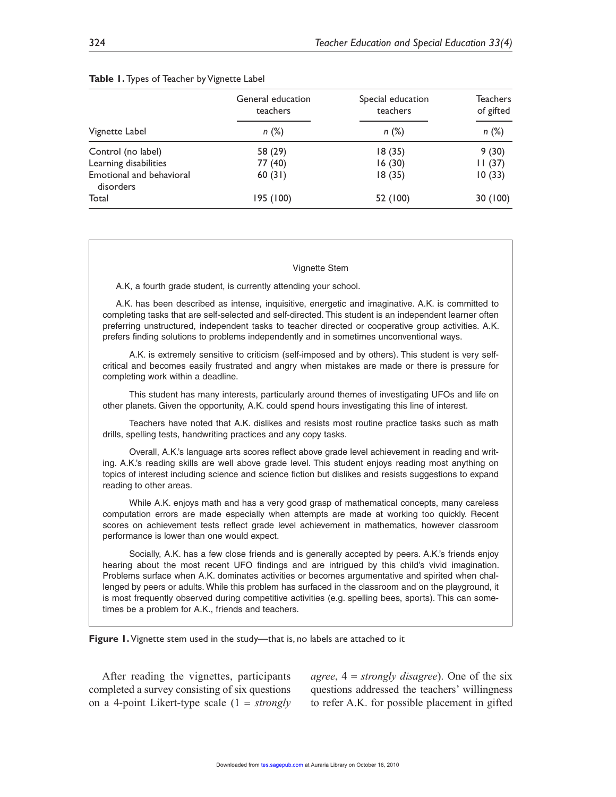|                                       | General education<br>teachers | Special education<br>teachers | <b>Teachers</b><br>of gifted<br>$n$ (%) |  |
|---------------------------------------|-------------------------------|-------------------------------|-----------------------------------------|--|
| Vignette Label                        | $n$ (%)                       | n(%)                          |                                         |  |
| Control (no label)                    | 58 (29)                       | 18(35)                        | 9(30)                                   |  |
| Learning disabilities                 | 77 (40)                       | 16(30)                        | 11(37)                                  |  |
| Emotional and behavioral<br>disorders | 60(31)                        | 18(35)                        | 10(33)                                  |  |
| Total                                 | 195 (100)                     | 52 (100)                      | 30(100)                                 |  |

#### **Table 1.** Types of Teacher by Vignette Label

#### Vignette Stem

A.K, a fourth grade student, is currently attending your school.

A.K. has been described as intense, inquisitive, energetic and imaginative. A.K. is committed to completing tasks that are self-selected and self-directed. This student is an independent learner often preferring unstructured, independent tasks to teacher directed or cooperative group activities. A.K. prefers finding solutions to problems independently and in sometimes unconventional ways.

 A.K. is extremely sensitive to criticism (self-imposed and by others). This student is very selfcritical and becomes easily frustrated and angry when mistakes are made or there is pressure for completing work within a deadline.

 This student has many interests, particularly around themes of investigating UFOs and life on other planets. Given the opportunity, A.K. could spend hours investigating this line of interest.

 Teachers have noted that A.K. dislikes and resists most routine practice tasks such as math drills, spelling tests, handwriting practices and any copy tasks.

 Overall, A.K.'s language arts scores reflect above grade level achievement in reading and writing. A.K.'s reading skills are well above grade level. This student enjoys reading most anything on topics of interest including science and science fiction but dislikes and resists suggestions to expand reading to other areas.

 While A.K. enjoys math and has a very good grasp of mathematical concepts, many careless computation errors are made especially when attempts are made at working too quickly. Recent scores on achievement tests reflect grade level achievement in mathematics, however classroom performance is lower than one would expect.

 Socially, A.K. has a few close friends and is generally accepted by peers. A.K.'s friends enjoy hearing about the most recent UFO findings and are intrigued by this child's vivid imagination. Problems surface when A.K. dominates activities or becomes argumentative and spirited when challenged by peers or adults. While this problem has surfaced in the classroom and on the playground, it is most frequently observed during competitive activities (e.g. spelling bees, sports). This can sometimes be a problem for A.K., friends and teachers.

**Figure 1.** Vignette stem used in the study—that is, no labels are attached to it

After reading the vignettes, participants completed a survey consisting of six questions on a 4-point Likert-type scale  $(1 = strongly$  *agree*,  $4 = strongly disagree$ ). One of the six questions addressed the teachers' willingness to refer A.K. for possible placement in gifted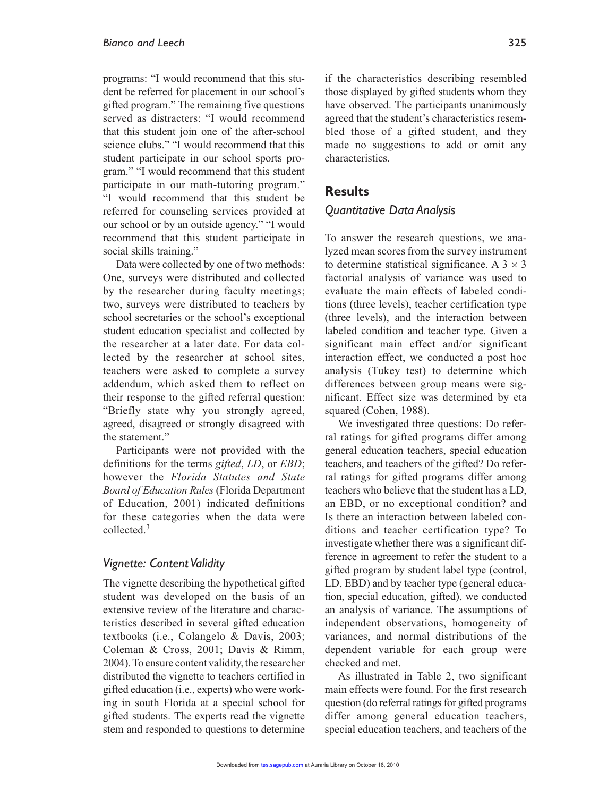programs: "I would recommend that this student be referred for placement in our school's gifted program." The remaining five questions served as distracters: "I would recommend that this student join one of the after-school science clubs." "I would recommend that this student participate in our school sports program." "I would recommend that this student participate in our math-tutoring program." "I would recommend that this student be referred for counseling services provided at our school or by an outside agency." "I would recommend that this student participate in social skills training."

Data were collected by one of two methods: One, surveys were distributed and collected by the researcher during faculty meetings; two, surveys were distributed to teachers by school secretaries or the school's exceptional student education specialist and collected by the researcher at a later date. For data collected by the researcher at school sites, teachers were asked to complete a survey addendum, which asked them to reflect on their response to the gifted referral question: "Briefly state why you strongly agreed, agreed, disagreed or strongly disagreed with the statement."

Participants were not provided with the definitions for the terms *gifted*, *LD*, or *EBD*; however the *Florida Statutes and State Board of Education Rules* (Florida Department of Education, 2001) indicated definitions for these categories when the data were collected.<sup>3</sup>

## *Vignette: Content Validity*

The vignette describing the hypothetical gifted student was developed on the basis of an extensive review of the literature and characteristics described in several gifted education textbooks (i.e., Colangelo & Davis, 2003; Coleman & Cross, 2001; Davis & Rimm, 2004). To ensure content validity, the researcher distributed the vignette to teachers certified in gifted education (i.e., experts) who were working in south Florida at a special school for gifted students. The experts read the vignette stem and responded to questions to determine if the characteristics describing resembled those displayed by gifted students whom they have observed. The participants unanimously agreed that the student's characteristics resembled those of a gifted student, and they made no suggestions to add or omit any characteristics.

## **Results**

## *Quantitative Data Analysis*

To answer the research questions, we analyzed mean scores from the survey instrument to determine statistical significance. A  $3 \times 3$ factorial analysis of variance was used to evaluate the main effects of labeled conditions (three levels), teacher certification type (three levels), and the interaction between labeled condition and teacher type. Given a significant main effect and/or significant interaction effect, we conducted a post hoc analysis (Tukey test) to determine which differences between group means were significant. Effect size was determined by eta squared (Cohen, 1988).

We investigated three questions: Do referral ratings for gifted programs differ among general education teachers, special education teachers, and teachers of the gifted? Do referral ratings for gifted programs differ among teachers who believe that the student has a LD, an EBD, or no exceptional condition? and Is there an interaction between labeled conditions and teacher certification type? To investigate whether there was a significant difference in agreement to refer the student to a gifted program by student label type (control, LD, EBD) and by teacher type (general education, special education, gifted), we conducted an analysis of variance. The assumptions of independent observations, homogeneity of variances, and normal distributions of the dependent variable for each group were checked and met.

As illustrated in Table 2, two significant main effects were found. For the first research question (do referral ratings for gifted programs differ among general education teachers, special education teachers, and teachers of the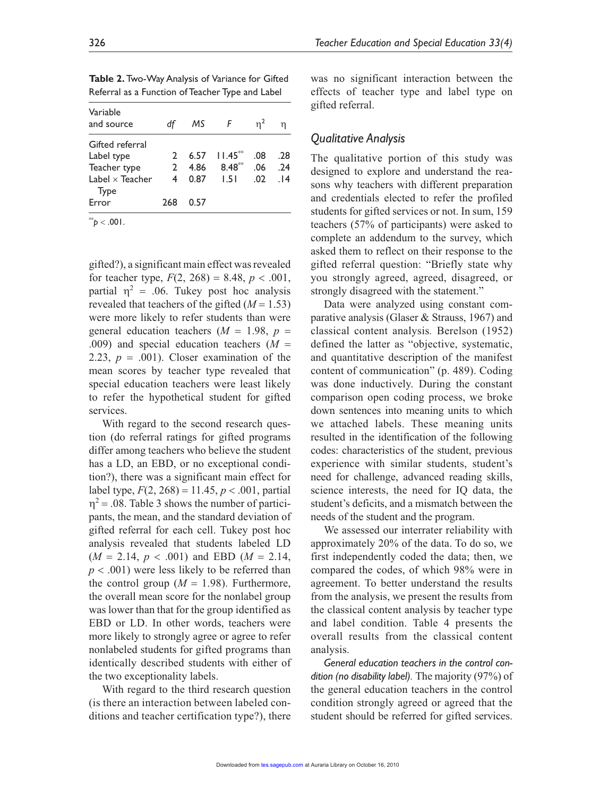| Variable<br>and source |                | MS   | F                         | $n^2$ |     |
|------------------------|----------------|------|---------------------------|-------|-----|
| Gifted referral        |                |      |                           |       |     |
| Label type             | $\mathbf{2}$   |      | $6.57$ $11.45^{\ast\ast}$ | .08   | .28 |
| Teacher type           | $\overline{2}$ | 4.86 | $8.48***$                 | .06   | .24 |
| Label $\times$ Teacher | 4              | 0.87 | 1.51                      | .02   | 4   |
| Type                   |                |      |                           |       |     |
| Frror                  | 768            | N 57 |                           |       |     |
|                        |                |      |                           |       |     |

**Table 2.** Two-Way Analysis of Variance for Gifted Referral as a Function of Teacher Type and Label

 $p^*$   $> 001$ .

gifted?), a significant main effect was revealed for teacher type,  $F(2, 268) = 8.48$ ,  $p < .001$ , partial  $\eta^2 = .06$ . Tukey post hoc analysis revealed that teachers of the gifted  $(M = 1.53)$ were more likely to refer students than were general education teachers  $(M = 1.98, p =$ .009) and special education teachers  $(M =$ 2.23,  $p = .001$ ). Closer examination of the mean scores by teacher type revealed that special education teachers were least likely to refer the hypothetical student for gifted services.

With regard to the second research question (do referral ratings for gifted programs differ among teachers who believe the student has a LD, an EBD, or no exceptional condition?), there was a significant main effect for label type,  $F(2, 268) = 11.45$ ,  $p < .001$ , partial  $\eta^2$  = .08. Table 3 shows the number of participants, the mean, and the standard deviation of gifted referral for each cell. Tukey post hoc analysis revealed that students labeled LD  $(M = 2.14, p < .001)$  and EBD  $(M = 2.14,$  $p < .001$ ) were less likely to be referred than the control group ( $M = 1.98$ ). Furthermore, the overall mean score for the nonlabel group was lower than that for the group identified as EBD or LD. In other words, teachers were more likely to strongly agree or agree to refer nonlabeled students for gifted programs than identically described students with either of the two exceptionality labels.

With regard to the third research question (is there an interaction between labeled conditions and teacher certification type?), there

was no significant interaction between the effects of teacher type and label type on gifted referral.

#### *Qualitative Analysis*

The qualitative portion of this study was designed to explore and understand the reasons why teachers with different preparation and credentials elected to refer the profiled students for gifted services or not. In sum, 159 teachers (57% of participants) were asked to complete an addendum to the survey, which asked them to reflect on their response to the gifted referral question: "Briefly state why you strongly agreed, agreed, disagreed, or strongly disagreed with the statement."

Data were analyzed using constant comparative analysis (Glaser & Strauss, 1967) and classical content analysis*.* Berelson (1952) defined the latter as "objective, systematic, and quantitative description of the manifest content of communication" (p. 489). Coding was done inductively. During the constant comparison open coding process, we broke down sentences into meaning units to which we attached labels. These meaning units resulted in the identification of the following codes: characteristics of the student, previous experience with similar students, student's need for challenge, advanced reading skills, science interests, the need for IQ data, the student's deficits, and a mismatch between the needs of the student and the program.

We assessed our interrater reliability with approximately 20% of the data. To do so, we first independently coded the data; then, we compared the codes, of which 98% were in agreement. To better understand the results from the analysis, we present the results from the classical content analysis by teacher type and label condition. Table 4 presents the overall results from the classical content analysis.

*General education teachers in the control condition (no disability label).* The majority (97%) of the general education teachers in the control condition strongly agreed or agreed that the student should be referred for gifted services.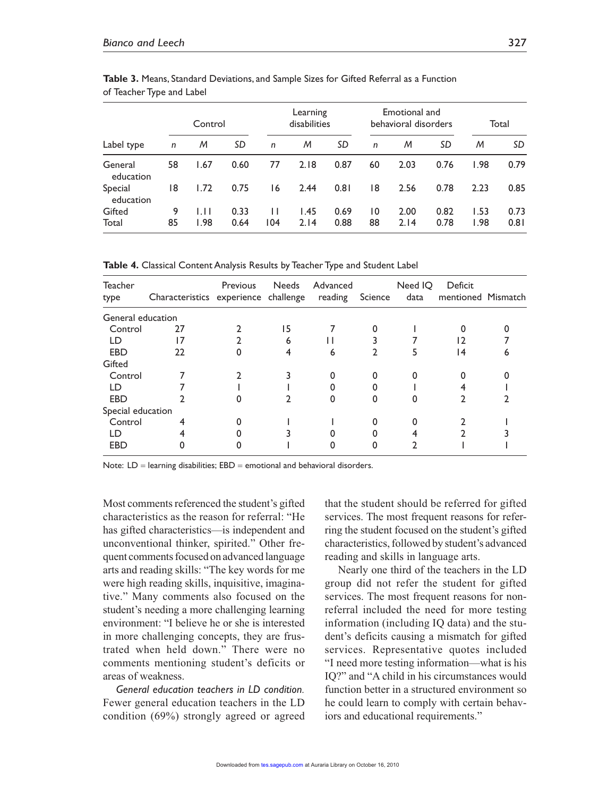| $\prime$ 1           |         |              |                          |          |              |                                       |          |              |              |              |              |
|----------------------|---------|--------------|--------------------------|----------|--------------|---------------------------------------|----------|--------------|--------------|--------------|--------------|
|                      | Control |              | Learning<br>disabilities |          |              | Emotional and<br>behavioral disorders |          |              | Total        |              |              |
| Label type           | n       | M            | SD                       | n        | M            | SD                                    | n        | M            | SD           | M            | SD           |
| General<br>education | 58      | 1.67         | 0.60                     | 77       | 2.18         | 0.87                                  | 60       | 2.03         | 0.76         | 1.98         | 0.79         |
| Special<br>education | 18      | 1.72         | 0.75                     | 16       | 2.44         | 0.81                                  | 18       | 2.56         | 0.78         | 2.23         | 0.85         |
| Gifted<br>Total      | 9<br>85 | 1.11<br>1.98 | 0.33<br>0.64             | Ш<br>104 | 1.45<br>2.14 | 0.69<br>0.88                          | 10<br>88 | 2.00<br>2.14 | 0.82<br>0.78 | 1.53<br>1.98 | 0.73<br>0.81 |

**Table 3.** Means, Standard Deviations, and Sample Sizes for Gifted Referral as a Function of Teacher Type and Label

**Table 4.** Classical Content Analysis Results by Teacher Type and Student Label

| Teacher<br>type   | Characteristics experience challenge reading Science | Previous |    | Needs Advanced |   | Need IQ<br>data | Deficit<br>mentioned Mismatch |  |
|-------------------|------------------------------------------------------|----------|----|----------------|---|-----------------|-------------------------------|--|
| General education |                                                      |          |    |                |   |                 |                               |  |
| Control           | 27                                                   |          | 15 |                |   |                 |                               |  |
| LD                | 17                                                   |          | 6  |                |   |                 |                               |  |
| EBD               | 22                                                   |          | 4  | 6              | 2 | 5               | $\overline{14}$               |  |
| Gifted            |                                                      |          |    |                |   |                 |                               |  |
| Control           |                                                      |          |    |                |   |                 |                               |  |
| LD                |                                                      |          |    |                |   |                 |                               |  |
| EBD               |                                                      |          |    | O              |   |                 |                               |  |
| Special education |                                                      |          |    |                |   |                 |                               |  |
| Control           |                                                      |          |    |                |   |                 |                               |  |
| LD                |                                                      |          |    |                |   |                 |                               |  |
| <b>EBD</b>        |                                                      |          |    |                |   |                 |                               |  |

Note:  $LD =$  learning disabilities;  $EBD =$  emotional and behavioral disorders.

Most comments referenced the student's gifted characteristics as the reason for referral: "He has gifted characteristics—is independent and unconventional thinker, spirited." Other frequent comments focused on advanced language arts and reading skills: "The key words for me were high reading skills, inquisitive, imaginative." Many comments also focused on the student's needing a more challenging learning environment: "I believe he or she is interested in more challenging concepts, they are frustrated when held down." There were no comments mentioning student's deficits or areas of weakness.

*General education teachers in LD condition.*  Fewer general education teachers in the LD condition (69%) strongly agreed or agreed that the student should be referred for gifted services. The most frequent reasons for referring the student focused on the student's gifted characteristics, followed by student's advanced reading and skills in language arts.

Nearly one third of the teachers in the LD group did not refer the student for gifted services. The most frequent reasons for nonreferral included the need for more testing information (including IQ data) and the student's deficits causing a mismatch for gifted services. Representative quotes included "I need more testing information—what is his IQ?" and "A child in his circumstances would function better in a structured environment so he could learn to comply with certain behaviors and educational requirements."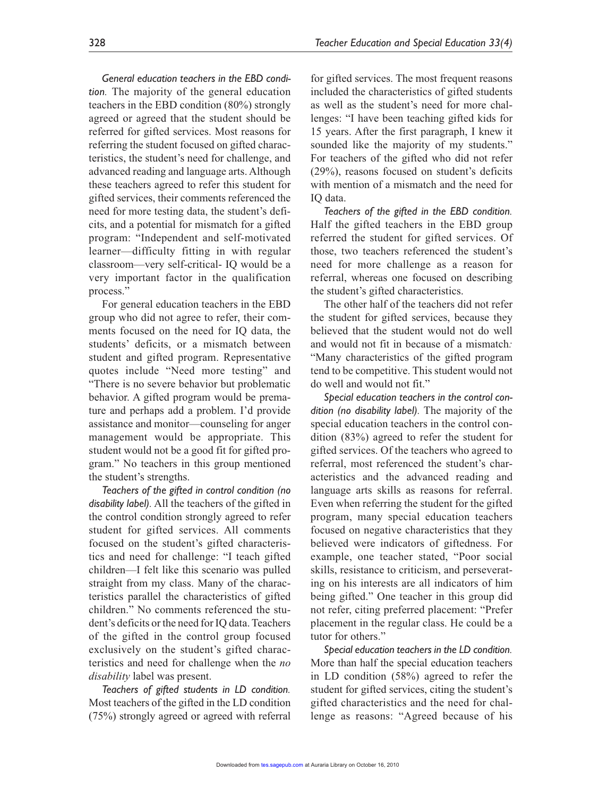*General education teachers in the EBD condition.* The majority of the general education teachers in the EBD condition (80%) strongly agreed or agreed that the student should be referred for gifted services. Most reasons for referring the student focused on gifted characteristics, the student's need for challenge, and advanced reading and language arts. Although these teachers agreed to refer this student for gifted services, their comments referenced the need for more testing data, the student's deficits, and a potential for mismatch for a gifted program: "Independent and self-motivated learner—difficulty fitting in with regular classroom—very self-critical- IQ would be a very important factor in the qualification process."

For general education teachers in the EBD group who did not agree to refer, their comments focused on the need for IQ data, the students' deficits, or a mismatch between student and gifted program. Representative quotes include "Need more testing" and "There is no severe behavior but problematic behavior. A gifted program would be premature and perhaps add a problem. I'd provide assistance and monitor—counseling for anger management would be appropriate. This student would not be a good fit for gifted program." No teachers in this group mentioned the student's strengths.

*Teachers of the gifted in control condition (no disability label).* All the teachers of the gifted in the control condition strongly agreed to refer student for gifted services. All comments focused on the student's gifted characteristics and need for challenge: "I teach gifted children—I felt like this scenario was pulled straight from my class. Many of the characteristics parallel the characteristics of gifted children." No comments referenced the student's deficits or the need for IQ data. Teachers of the gifted in the control group focused exclusively on the student's gifted characteristics and need for challenge when the *no disability* label was present.

*Teachers of gifted students in LD condition.*  Most teachers of the gifted in the LD condition (75%) strongly agreed or agreed with referral for gifted services. The most frequent reasons included the characteristics of gifted students as well as the student's need for more challenges: "I have been teaching gifted kids for 15 years. After the first paragraph, I knew it sounded like the majority of my students." For teachers of the gifted who did not refer (29%), reasons focused on student's deficits with mention of a mismatch and the need for IQ data.

*Teachers of the gifted in the EBD condition.*  Half the gifted teachers in the EBD group referred the student for gifted services. Of those, two teachers referenced the student's need for more challenge as a reason for referral, whereas one focused on describing the student's gifted characteristics.

The other half of the teachers did not refer the student for gifted services, because they believed that the student would not do well and would not fit in because of a mismatch*:*  "Many characteristics of the gifted program tend to be competitive. This student would not do well and would not fit."

*Special education teachers in the control condition (no disability label).* The majority of the special education teachers in the control condition (83%) agreed to refer the student for gifted services. Of the teachers who agreed to referral, most referenced the student's characteristics and the advanced reading and language arts skills as reasons for referral. Even when referring the student for the gifted program, many special education teachers focused on negative characteristics that they believed were indicators of giftedness. For example, one teacher stated, "Poor social skills, resistance to criticism, and perseverating on his interests are all indicators of him being gifted." One teacher in this group did not refer, citing preferred placement: "Prefer placement in the regular class. He could be a tutor for others."

*Special education teachers in the LD condition.*  More than half the special education teachers in LD condition (58%) agreed to refer the student for gifted services, citing the student's gifted characteristics and the need for challenge as reasons: "Agreed because of his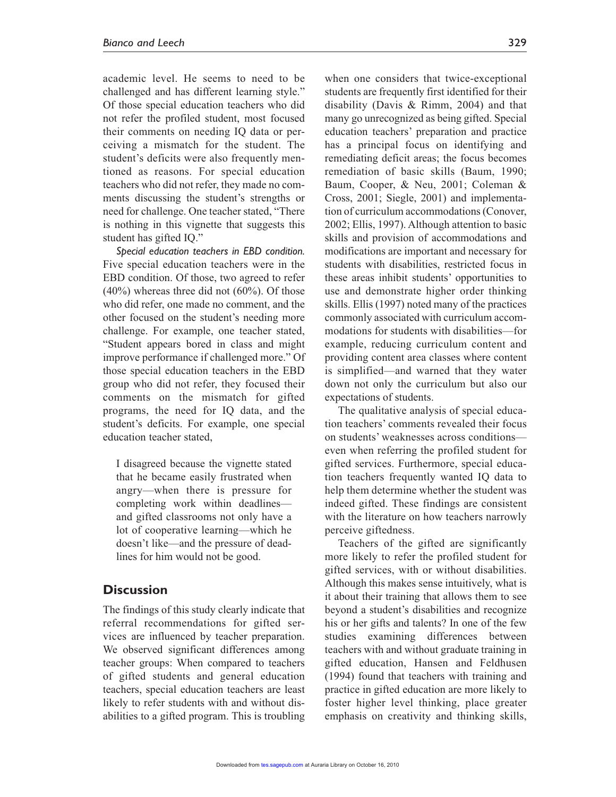academic level. He seems to need to be challenged and has different learning style." Of those special education teachers who did not refer the profiled student, most focused their comments on needing IQ data or perceiving a mismatch for the student. The student's deficits were also frequently mentioned as reasons. For special education teachers who did not refer, they made no comments discussing the student's strengths or need for challenge. One teacher stated, "There is nothing in this vignette that suggests this student has gifted IQ."

*Special education teachers in EBD condition.* Five special education teachers were in the EBD condition. Of those, two agreed to refer  $(40\%)$  whereas three did not  $(60\%)$ . Of those who did refer, one made no comment, and the other focused on the student's needing more challenge. For example, one teacher stated, "Student appears bored in class and might improve performance if challenged more." Of those special education teachers in the EBD group who did not refer, they focused their comments on the mismatch for gifted programs, the need for IQ data, and the student's deficits. For example, one special education teacher stated,

I disagreed because the vignette stated that he became easily frustrated when angry—when there is pressure for completing work within deadlines and gifted classrooms not only have a lot of cooperative learning—which he doesn't like—and the pressure of deadlines for him would not be good.

## **Discussion**

The findings of this study clearly indicate that referral recommendations for gifted services are influenced by teacher preparation. We observed significant differences among teacher groups: When compared to teachers of gifted students and general education teachers, special education teachers are least likely to refer students with and without disabilities to a gifted program. This is troubling when one considers that twice-exceptional students are frequently first identified for their disability (Davis & Rimm, 2004) and that many go unrecognized as being gifted. Special education teachers' preparation and practice has a principal focus on identifying and remediating deficit areas; the focus becomes remediation of basic skills (Baum, 1990; Baum, Cooper, & Neu, 2001; Coleman & Cross, 2001; Siegle, 2001) and implementation of curriculum accommodations (Conover, 2002; Ellis, 1997). Although attention to basic skills and provision of accommodations and modifications are important and necessary for students with disabilities, restricted focus in these areas inhibit students' opportunities to use and demonstrate higher order thinking skills. Ellis (1997) noted many of the practices commonly associated with curriculum accommodations for students with disabilities—for example, reducing curriculum content and providing content area classes where content is simplified—and warned that they water down not only the curriculum but also our expectations of students.

The qualitative analysis of special education teachers' comments revealed their focus on students' weaknesses across conditions even when referring the profiled student for gifted services. Furthermore, special education teachers frequently wanted IQ data to help them determine whether the student was indeed gifted. These findings are consistent with the literature on how teachers narrowly perceive giftedness.

Teachers of the gifted are significantly more likely to refer the profiled student for gifted services, with or without disabilities. Although this makes sense intuitively, what is it about their training that allows them to see beyond a student's disabilities and recognize his or her gifts and talents? In one of the few studies examining differences between teachers with and without graduate training in gifted education, Hansen and Feldhusen (1994) found that teachers with training and practice in gifted education are more likely to foster higher level thinking, place greater emphasis on creativity and thinking skills,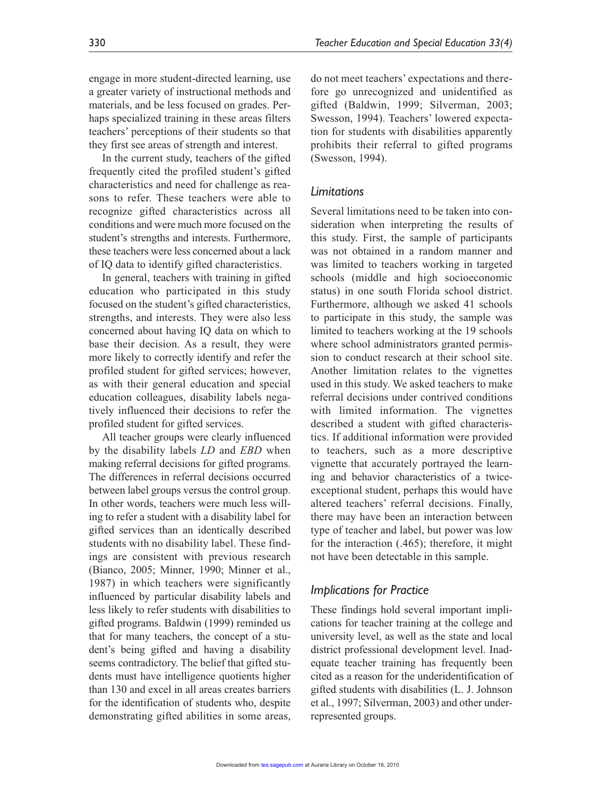engage in more student-directed learning, use a greater variety of instructional methods and materials, and be less focused on grades. Perhaps specialized training in these areas filters teachers' perceptions of their students so that they first see areas of strength and interest.

In the current study, teachers of the gifted frequently cited the profiled student's gifted characteristics and need for challenge as reasons to refer. These teachers were able to recognize gifted characteristics across all conditions and were much more focused on the student's strengths and interests. Furthermore, these teachers were less concerned about a lack of IQ data to identify gifted characteristics.

In general, teachers with training in gifted education who participated in this study focused on the student's gifted characteristics, strengths, and interests. They were also less concerned about having IQ data on which to base their decision. As a result, they were more likely to correctly identify and refer the profiled student for gifted services; however, as with their general education and special education colleagues, disability labels negatively influenced their decisions to refer the profiled student for gifted services.

All teacher groups were clearly influenced by the disability labels *LD* and *EBD* when making referral decisions for gifted programs. The differences in referral decisions occurred between label groups versus the control group. In other words, teachers were much less willing to refer a student with a disability label for gifted services than an identically described students with no disability label. These findings are consistent with previous research (Bianco, 2005; Minner, 1990; Minner et al., 1987) in which teachers were significantly influenced by particular disability labels and less likely to refer students with disabilities to gifted programs. Baldwin (1999) reminded us that for many teachers, the concept of a student's being gifted and having a disability seems contradictory. The belief that gifted students must have intelligence quotients higher than 130 and excel in all areas creates barriers for the identification of students who, despite demonstrating gifted abilities in some areas,

do not meet teachers' expectations and therefore go unrecognized and unidentified as gifted (Baldwin, 1999; Silverman, 2003; Swesson, 1994). Teachers' lowered expectation for students with disabilities apparently prohibits their referral to gifted programs (Swesson, 1994).

#### *Limitations*

Several limitations need to be taken into consideration when interpreting the results of this study. First, the sample of participants was not obtained in a random manner and was limited to teachers working in targeted schools (middle and high socioeconomic status) in one south Florida school district. Furthermore, although we asked 41 schools to participate in this study, the sample was limited to teachers working at the 19 schools where school administrators granted permission to conduct research at their school site. Another limitation relates to the vignettes used in this study. We asked teachers to make referral decisions under contrived conditions with limited information. The vignettes described a student with gifted characteristics. If additional information were provided to teachers, such as a more descriptive vignette that accurately portrayed the learning and behavior characteristics of a twiceexceptional student, perhaps this would have altered teachers' referral decisions. Finally, there may have been an interaction between type of teacher and label, but power was low for the interaction (.465); therefore, it might not have been detectable in this sample.

## *Implications for Practice*

These findings hold several important implications for teacher training at the college and university level, as well as the state and local district professional development level. Inadequate teacher training has frequently been cited as a reason for the underidentification of gifted students with disabilities (L. J. Johnson et al., 1997; Silverman, 2003) and other underrepresented groups.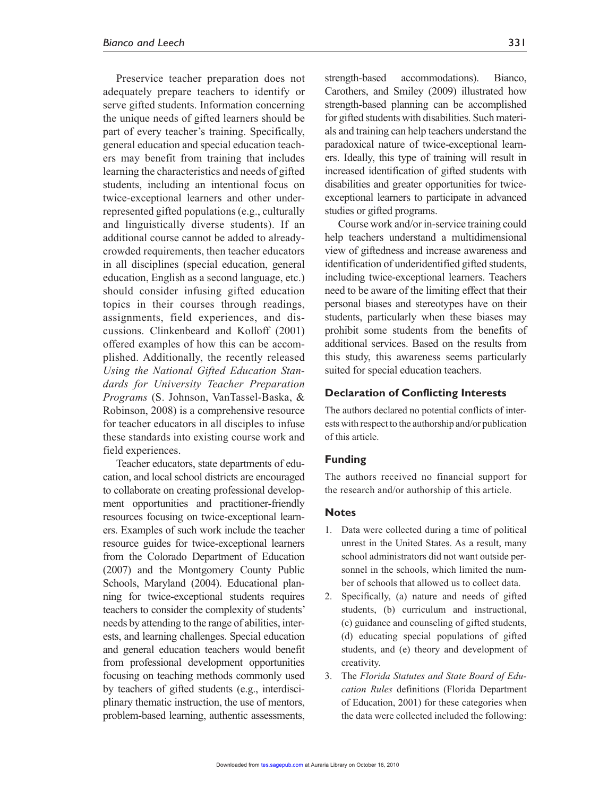Preservice teacher preparation does not adequately prepare teachers to identify or serve gifted students. Information concerning the unique needs of gifted learners should be part of every teacher's training. Specifically, general education and special education teachers may benefit from training that includes learning the characteristics and needs of gifted students, including an intentional focus on twice-exceptional learners and other underrepresented gifted populations (e.g., culturally and linguistically diverse students). If an additional course cannot be added to alreadycrowded requirements, then teacher educators in all disciplines (special education, general education, English as a second language, etc.) should consider infusing gifted education topics in their courses through readings, assignments, field experiences, and discussions. Clinkenbeard and Kolloff (2001) offered examples of how this can be accomplished. Additionally, the recently released *Using the National Gifted Education Standards for University Teacher Preparation Programs* (S. Johnson, VanTassel-Baska, & Robinson, 2008) is a comprehensive resource for teacher educators in all disciples to infuse these standards into existing course work and field experiences.

Teacher educators, state departments of education, and local school districts are encouraged to collaborate on creating professional development opportunities and practitioner-friendly resources focusing on twice-exceptional learners. Examples of such work include the teacher resource guides for twice-exceptional learners from the Colorado Department of Education (2007) and the Montgomery County Public Schools, Maryland (2004). Educational planning for twice-exceptional students requires teachers to consider the complexity of students' needs by attending to the range of abilities, interests, and learning challenges. Special education and general education teachers would benefit from professional development opportunities focusing on teaching methods commonly used by teachers of gifted students (e.g., interdisciplinary thematic instruction, the use of mentors, problem-based learning, authentic assessments, strength-based accommodations). Bianco, Carothers, and Smiley (2009) illustrated how strength-based planning can be accomplished for gifted students with disabilities. Such materials and training can help teachers understand the paradoxical nature of twice-exceptional learners. Ideally, this type of training will result in increased identification of gifted students with disabilities and greater opportunities for twiceexceptional learners to participate in advanced studies or gifted programs.

Course work and/or in-service training could help teachers understand a multidimensional view of giftedness and increase awareness and identification of underidentified gifted students, including twice-exceptional learners. Teachers need to be aware of the limiting effect that their personal biases and stereotypes have on their students, particularly when these biases may prohibit some students from the benefits of additional services. Based on the results from this study, this awareness seems particularly suited for special education teachers.

#### **Declaration of Conflicting Interests**

The authors declared no potential conflicts of interests with respect to the authorship and/or publication of this article.

#### **Funding**

The authors received no financial support for the research and/or authorship of this article.

#### **Notes**

- 1. Data were collected during a time of political unrest in the United States. As a result, many school administrators did not want outside personnel in the schools, which limited the number of schools that allowed us to collect data.
- 2. Specifically, (a) nature and needs of gifted students, (b) curriculum and instructional, (c) guidance and counseling of gifted students, (d) educating special populations of gifted students, and (e) theory and development of creativity.
- 3. The *Florida Statutes and State Board of Education Rules* definitions (Florida Department of Education, 2001) for these categories when the data were collected included the following: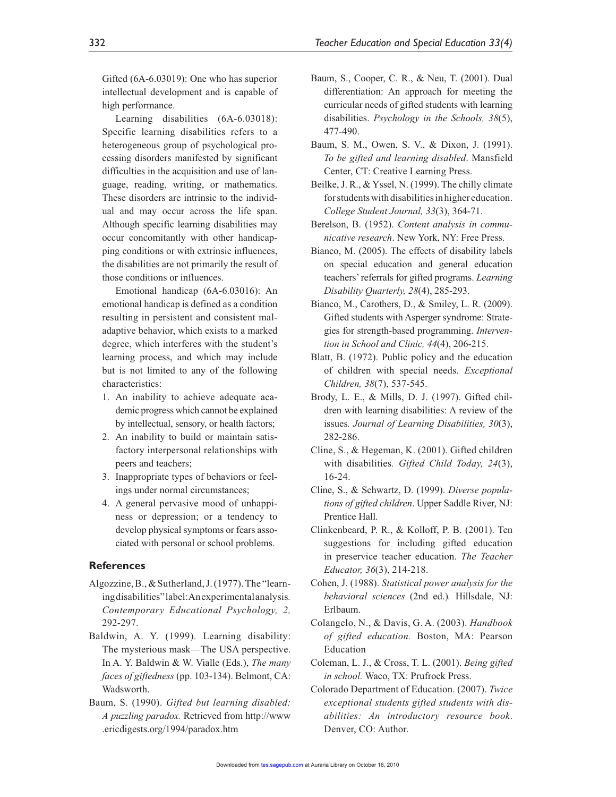Gifted (6A-6.03019): One who has superior intellectual development and is capable of high performance.

Learning disabilities (6A-6.03018): Specific learning disabilities refers to a heterogeneous group of psychological processing disorders manifested by significant difficulties in the acquisition and use of language, reading, writing, or mathematics. These disorders are intrinsic to the individual and may occur across the life span. Although specific learning disabilities may occur concomitantly with other handicapping conditions or with extrinsic influences, the disabilities are not primarily the result of those conditions or influences.

Emotional handicap (6A-6.03016): An emotional handicap is defined as a condition resulting in persistent and consistent maladaptive behavior, which exists to a marked degree, which interferes with the student's learning process, and which may include but is not limited to any of the following characteristics:

- 1. An inability to achieve adequate academic progress which cannot be explained by intellectual, sensory, or health factors;
- 2. An inability to build or maintain satisfactory interpersonal relationships with peers and teachers;
- 3. Inappropriate types of behaviors or feelings under normal circumstances;
- 4. A general pervasive mood of unhappiness or depression; or a tendency to develop physical symptoms or fears associated with personal or school problems.

#### **References**

- Algozzine, B., & Sutherland, J. (1977). The "learning disabilities" label: An experimental analysis*. Contemporary Educational Psychology, 2,* 292-297.
- Baldwin, A. Y. (1999). Learning disability: The mysterious mask—The USA perspective. In A. Y. Baldwin & W. Vialle (Eds.), *The many faces of giftedness* (pp. 103-134). Belmont, CA: Wadsworth.
- Baum, S. (1990). *Gifted but learning disabled: A puzzling paradox.* Retrieved from http://www .ericdigests.org/1994/paradox.htm
- Baum, S., Cooper, C. R., & Neu, T. (2001). Dual differentiation: An approach for meeting the curricular needs of gifted students with learning disabilities. *Psychology in the Schools, 38*(5), 477-490.
- Baum, S. M., Owen, S. V., & Dixon, J. (1991). *To be gifted and learning disabled*. Mansfield Center, CT: Creative Learning Press.
- Beilke, J. R., & Yssel, N. (1999). The chilly climate for students with disabilities in higher education. *College Student Journal, 33*(3), 364-71.
- Berelson, B. (1952). *Content analysis in communicative research*. New York, NY: Free Press.
- Bianco, M. (2005). The effects of disability labels on special education and general education teachers' referrals for gifted programs. *Learning Disability Quarterly, 28*(4), 285-293.
- Bianco, M., Carothers, D., & Smiley, L. R. (2009). Gifted students with Asperger syndrome: Strategies for strength-based programming. *Intervention in School and Clinic, 44*(4), 206-215.
- Blatt, B. (1972). Public policy and the education of children with special needs. *Exceptional Children, 38*(7), 537-545.
- Brody, L. E., & Mills, D. J. (1997). Gifted children with learning disabilities: A review of the issues*. Journal of Learning Disabilities, 30*(3), 282-286.
- Cline, S., & Hegeman, K. (2001). Gifted children with disabilities*. Gifted Child Today, 24*(3), 16-24.
- Cline, S., & Schwartz, D. (1999). *Diverse populations of gifted children*. Upper Saddle River, NJ: Prentice Hall.
- Clinkenbeard, P. R., & Kolloff, P. B. (2001). Ten suggestions for including gifted education in preservice teacher education. *The Teacher Educator, 36*(3), 214-218.
- Cohen, J. (1988). *Statistical power analysis for the behavioral sciences* (2nd ed.)*.* Hillsdale, NJ: Erlbaum.
- Colangelo, N., & Davis, G. A. (2003). *Handbook of gifted education.* Boston, MA: Pearson Education
- Coleman, L. J., & Cross, T. L. (2001). *Being gifted in school.* Waco, TX: Prufrock Press.
- Colorado Department of Education. (2007). *Twice exceptional students gifted students with disabilities: An introductory resource book*. Denver, CO: Author.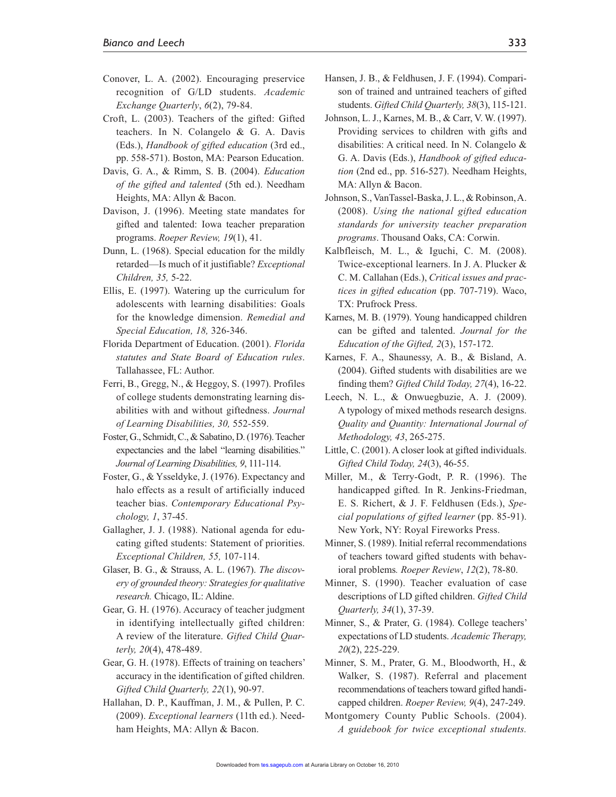- Conover, L. A. (2002). Encouraging preservice recognition of G/LD students. *Academic Exchange Quarterly*, *6*(2), 79-84.
- Croft, L. (2003). Teachers of the gifted: Gifted teachers. In N. Colangelo & G. A. Davis (Eds.), *Handbook of gifted education* (3rd ed., pp. 558-571). Boston, MA: Pearson Education.
- Davis, G. A., & Rimm, S. B. (2004). *Education of the gifted and talented* (5th ed.). Needham Heights, MA: Allyn & Bacon.
- Davison, J. (1996). Meeting state mandates for gifted and talented: Iowa teacher preparation programs. *Roeper Review, 19*(1), 41.
- Dunn, L. (1968). Special education for the mildly retarded—Is much of it justifiable? *Exceptional Children, 35,* 5-22.
- Ellis, E. (1997). Watering up the curriculum for adolescents with learning disabilities: Goals for the knowledge dimension. *Remedial and Special Education, 18,* 326-346.
- Florida Department of Education. (2001). *Florida statutes and State Board of Education rules*. Tallahassee, FL: Author.
- Ferri, B., Gregg, N., & Heggoy, S. (1997). Profiles of college students demonstrating learning disabilities with and without giftedness. *Journal of Learning Disabilities, 30,* 552-559.
- Foster, G., Schmidt, C., & Sabatino, D. (1976). Teacher expectancies and the label "learning disabilities." *Journal of Learning Disabilities, 9*, 111-114.
- Foster, G., & Ysseldyke, J. (1976). Expectancy and halo effects as a result of artificially induced teacher bias. *Contemporary Educational Psychology, 1*, 37-45.
- Gallagher, J. J. (1988). National agenda for educating gifted students: Statement of priorities. *Exceptional Children, 55,* 107-114.
- Glaser, B. G., & Strauss, A. L. (1967). *The discovery of grounded theory: Strategies for qualitative research.* Chicago, IL: Aldine.
- Gear, G. H. (1976). Accuracy of teacher judgment in identifying intellectually gifted children: A review of the literature. *Gifted Child Quarterly, 20*(4), 478-489.
- Gear, G. H. (1978). Effects of training on teachers' accuracy in the identification of gifted children. *Gifted Child Quarterly, 22*(1), 90-97.
- Hallahan, D. P., Kauffman, J. M., & Pullen, P. C. (2009). *Exceptional learners* (11th ed.). Needham Heights, MA: Allyn & Bacon.
- Hansen, J. B., & Feldhusen, J. F. (1994). Comparison of trained and untrained teachers of gifted students. *Gifted Child Quarterly, 38*(3), 115-121.
- Johnson, L. J., Karnes, M. B., & Carr, V. W. (1997). Providing services to children with gifts and disabilities: A critical need. In N. Colangelo & G. A. Davis (Eds.), *Handbook of gifted education* (2nd ed., pp. 516-527). Needham Heights, MA: Allyn & Bacon.
- Johnson, S., VanTassel-Baska, J. L., & Robinson, A. (2008). *Using the national gifted education standards for university teacher preparation programs*. Thousand Oaks, CA: Corwin.
- Kalbfleisch, M. L., & Iguchi, C. M. (2008). Twice-exceptional learners. In J. A. Plucker & C. M. Callahan (Eds.), *Critical issues and practices in gifted education* (pp. 707-719). Waco, TX: Prufrock Press.
- Karnes, M. B. (1979). Young handicapped children can be gifted and talented. *Journal for the Education of the Gifted, 2*(3), 157-172.
- Karnes, F. A., Shaunessy, A. B., & Bisland, A. (2004). Gifted students with disabilities are we finding them? *Gifted Child Today, 27*(4), 16-22.
- Leech, N. L., & Onwuegbuzie, A. J. (2009). A typology of mixed methods research designs. *Quality and Quantity: International Journal of Methodology, 43*, 265-275.
- Little, C. (2001). A closer look at gifted individuals. *Gifted Child Today, 24*(3), 46-55.
- Miller, M., & Terry-Godt, P. R. (1996). The handicapped gifted*.* In R. Jenkins-Friedman, E. S. Richert, & J. F. Feldhusen (Eds.), *Special populations of gifted learner* (pp. 85-91). New York, NY: Royal Fireworks Press.
- Minner, S. (1989). Initial referral recommendations of teachers toward gifted students with behavioral problems*. Roeper Review*, *12*(2), 78-80.
- Minner, S. (1990). Teacher evaluation of case descriptions of LD gifted children. *Gifted Child Quarterly, 34*(1), 37-39.
- Minner, S., & Prater, G. (1984). College teachers' expectations of LD students. *Academic Therapy, 20*(2), 225-229.
- Minner, S. M., Prater, G. M., Bloodworth, H., & Walker, S. (1987). Referral and placement recommendations of teachers toward gifted handicapped children. *Roeper Review, 9*(4), 247-249.
- Montgomery County Public Schools. (2004). *A guidebook for twice exceptional students.*